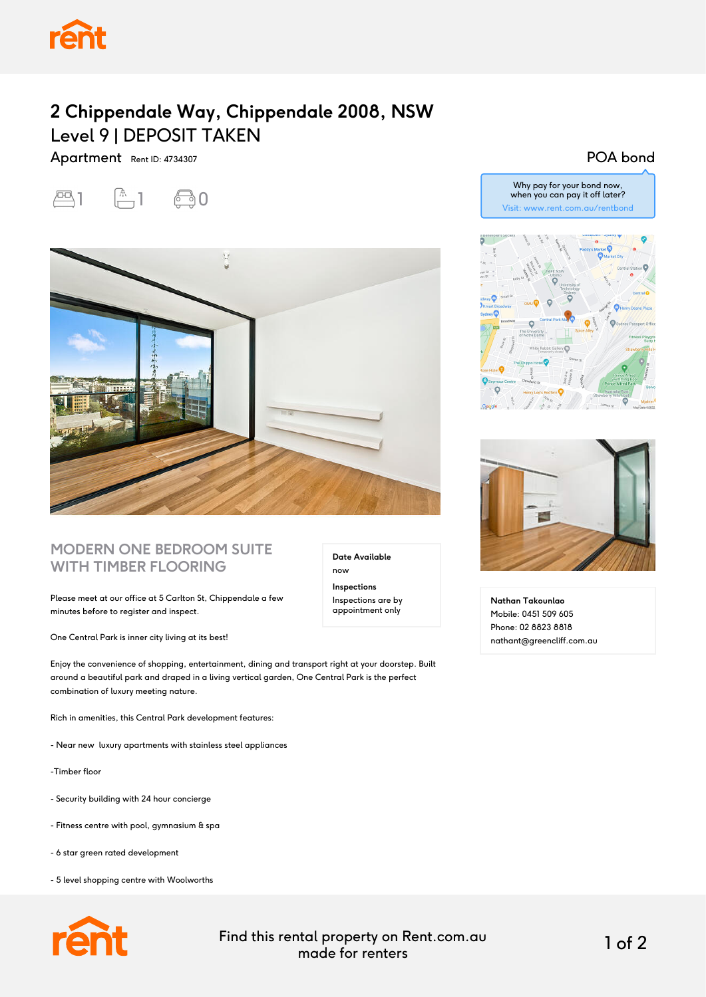

## **2 Chippendale Way, Chippendale 2008, NSW** Level 9 | DEPOSIT TAKEN

Apartment Rent ID: 4734307





## **MODERN ONE BEDROOM SUITE WITH TIMBER FLOORING**

Please meet at our office at 5 Carlton St, Chippendale a few minutes before to register and inspect.

One Central Park is inner city living at its best!

Enjoy the convenience of shopping, entertainment, dining and transport right at your doorstep. Built around a beautiful park and draped in a living vertical garden, One Central Park is the perfect combination of luxury meeting nature.

Rich in amenities, this Central Park development features:

- Near new luxury apartments with stainless steel appliances
- -Timber floor
- Security building with 24 hour concierge
- Fitness centre with pool, gymnasium & spa
- 6 star green rated development
- 5 level shopping centre with Woolworths



now **Inspections**

**Date Available**

Inspections are by appointment only

Why pay for your bond now, when you can pay it off later? Visit: www.rent.com.au/rentbond

POA bond





**Nathan Takounlao** Mobile: 0451 509 605 Phone: 02 8823 8818 nathant@greencliff.com.au